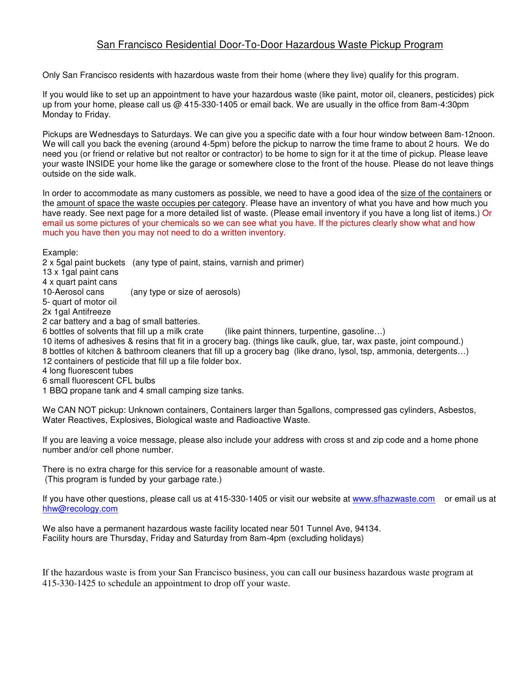## San Francisco Residential Door-To-Door Hazardous Waste Pickup Program

Only San Francisco residents with hazardous waste from their home (where they live) qualify for this program.

If you would like to set up an appointment to have your hazardous waste (like paint, motor oil, cleaners, pesticides) pick up from your home, please call us @ 415-330-1405 or email back. We are usually in the office from 8am-4:30pm Monday to Friday.

Pickups are Wednesdays to Saturdays. We can give you a specific date with a four hour window between 8am-12noon. We will call you back the evening (around 4-5pm) before the pickup to narrow the time frame to about 2 hours. We do need you (or friend or relative but not realtor or contractor) to be home to sign for it at the time of pickup. Please leave your waste INSIDE your home like the garage or somewhere close to the front of the house. Please do not leave things outside on the side walk.

In order to accommodate as many customers as possible, we need to have a good idea of the size of the containers or the amount of space the waste occupies per category. Please have an inventory of what you have and how much you have ready. See next page for a more detailed list of waste. (Please email inventory if you have a long list of items.) Or email us some pictures of your chemicals so we can see what you have. If the pictures clearly show what and how much you have then you may not need to do a written inventory.

Example:

2 x 5gal paint buckets (any type of paint, stains, varnish and primer)

13 x 1gal paint cans

4 x quart paint cans

10-Aerosol cans (any type or size of aerosols)

5- quart of motor oil

2x 1gal Antifreeze

2 car battery and a bag of small batteries.

6 bottles of solvents that fill up a milk crate (like paint thinners, turpentine, gasoline…)

10 items of adhesives & resins that fit in a grocery bag. (things like caulk, glue, tar, wax paste, joint compound.)

8 bottles of kitchen & bathroom cleaners that fill up a grocery bag (like drano, lysol, tsp, ammonia, detergents…)

12 containers of pesticide that fill up a file folder box.

4 long fluorescent tubes

6 small fluorescent CFL bulbs

1 BBQ propane tank and 4 small camping size tanks.

We CAN NOT pickup: Unknown containers, Containers larger than 5gallons, compressed gas cylinders, Asbestos, Water Reactives, Explosives, Biological waste and Radioactive Waste.

If you are leaving a voice message, please also include your address with cross st and zip code and a home phone number and/or cell phone number.

There is no extra charge for this service for a reasonable amount of waste. (This program is funded by your garbage rate.)

If you have other questions, please call us at 415-330-1405 or visit our website at www.sfhazwaste.com or email us at hhw@recology.com

We also have a permanent hazardous waste facility located near 501 Tunnel Ave, 94134. Facility hours are Thursday, Friday and Saturday from 8am-4pm (excluding holidays)

If the hazardous waste is from your San Francisco business, you can call our business hazardous waste program at 415-330-1425 to schedule an appointment to drop off your waste.